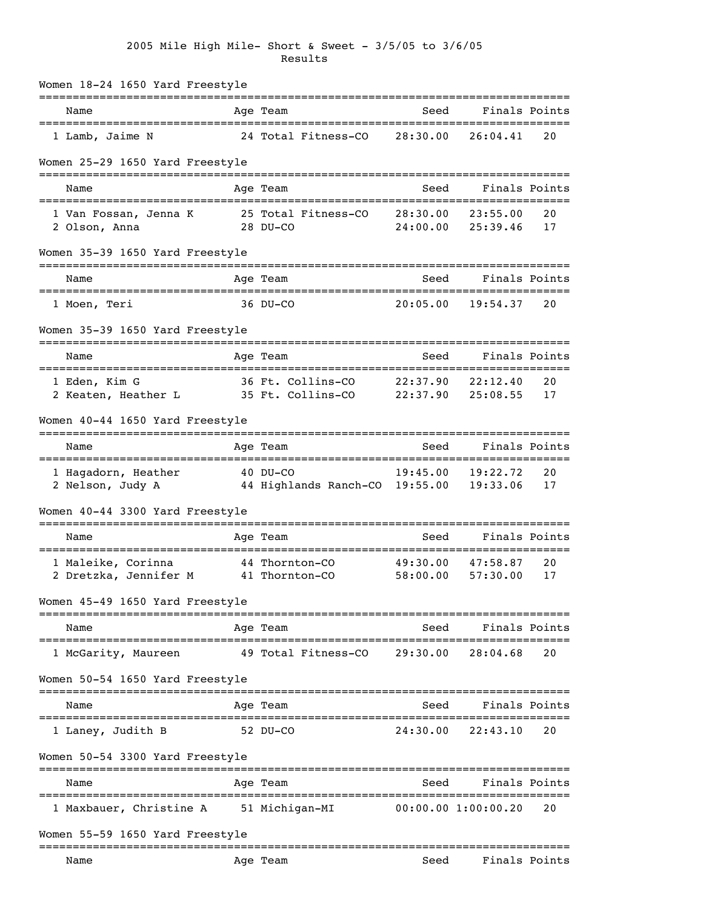## 2005 Mile High Mile- Short & Sweet - 3/5/05 to 3/6/05 Results

| Women 18-24 1650 Yard Freestyle                |                                                          |                      |                                                    |          |
|------------------------------------------------|----------------------------------------------------------|----------------------|----------------------------------------------------|----------|
| Name<br>====================================== | Age Team                                                 | Seed                 | Finals Points                                      |          |
| 1 Lamb, Jaime N                                | 24 Total Fitness-CO                                      | 28:30.00             | 26:04.41                                           | 20       |
| Women 25-29 1650 Yard Freestyle                |                                                          |                      |                                                    |          |
| Name                                           | Age Team                                                 | Seed                 | Finals Points                                      |          |
| 1 Van Fossan, Jenna K<br>2 Olson, Anna         | 25 Total Fitness-CO<br>28 DU-CO                          | 28:30.00<br>24:00.00 | 23:55.00<br>25:39.46                               | 20<br>17 |
| Women 35-39 1650 Yard Freestyle                |                                                          |                      |                                                    |          |
| Name<br>================================       | Age Team<br>---------------------                        | Seed                 | Finals Points<br>==========                        |          |
| 1 Moen, Teri                                   | 36 DU-CO                                                 | 20:05.00             | 19:54.37                                           | 20       |
| Women 35-39 1650 Yard Freestyle                |                                                          |                      |                                                    |          |
| Name                                           | Age Team                                                 | Seed                 | ---------------------------------<br>Finals Points |          |
| 1 Eden, Kim G<br>2 Keaten, Heather L           | 36 Ft. Collins-CO 22:37.90<br>35 Ft. Collins-CO 22:37.90 |                      | 22:12.40<br>25:08.55                               | 20<br>17 |
| Women 40-44 1650 Yard Freestyle                |                                                          |                      |                                                    |          |
| Name                                           | Age Team                                                 | Seed                 | Finals Points                                      |          |
| 1 Hagadorn, Heather<br>2 Nelson, Judy A        | $40$ DU-CO<br>44 Highlands Ranch-CO 19:55.00             | 19:45.00             | 19:22.72<br>19:33.06                               | 20<br>17 |
| Women 40-44 3300 Yard Freestyle                |                                                          |                      |                                                    |          |
| Name                                           | ==========<br>Age Team                                   | Seed                 | Finals Points                                      |          |
| 1 Maleike, Corinna<br>2 Dretzka, Jennifer M    | 44 Thornton-CO<br>41 Thornton-CO                         | 49:30.00<br>58:00.00 | 47:58.87<br>57:30.00                               | 20<br>17 |
| Women 45-49 1650 Yard Freestyle                |                                                          |                      |                                                    |          |
| Name                                           | Age Team                                                 | Seed                 | Finals Points                                      |          |
| 1 McGarity, Maureen                            | 49 Total Fitness-CO                                      | 29:30.00             | 28:04.68                                           | 20       |
| Women 50-54 1650 Yard Freestyle                |                                                          |                      |                                                    |          |
| Name                                           | Age Team                                                 | Seed                 | Finals Points                                      |          |
| 1 Laney, Judith B                              | 52 DU-CO                                                 | 24:30.00             | 22:43.10                                           | 20       |
| Women 50-54 3300 Yard Freestyle                |                                                          |                      |                                                    |          |
| Name                                           | Age Team                                                 | Seed                 | Finals Points                                      |          |
| 1 Maxbauer, Christine A                        | 51 Michigan-MI                                           |                      | 00:00.00 1:00:00.20                                | 20       |
| Women 55-59 1650 Yard Freestyle                |                                                          |                      |                                                    |          |
| Name                                           | ==================<br>Age Team                           | Seed                 | Finals Points                                      |          |